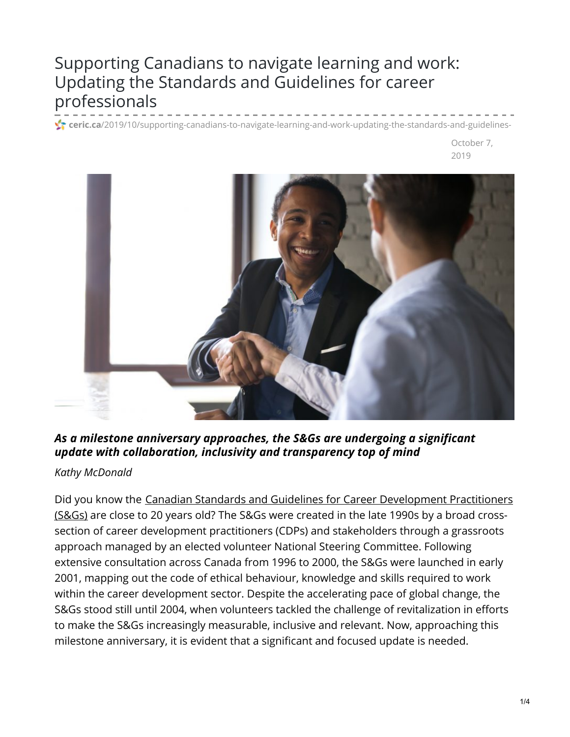# Supporting Canadians to navigate learning and work: Updating the Standards and Guidelines for career professionals

**f** ceric.ca[/2019/10/supporting-canadians-to-navigate-learning-and-work-updating-the-standards-and-guidelines-](https://ceric.ca/2019/10/supporting-canadians-to-navigate-learning-and-work-updating-the-standards-and-guidelines-for-career-professionals/)

October 7, 2019



### *As a milestone anniversary approaches, the S&Gs are undergoing a significant update with collaboration, inclusivity and transparency top of mind*

#### *Kathy McDonald*

Did you know the Canadian Standards and Guidelines for Career [Development](https://career-dev-guidelines.org/) Practitioners (S&Gs) are close to 20 years old? The S&Gs were created in the late 1990s by a broad crosssection of career development practitioners (CDPs) and stakeholders through a grassroots approach managed by an elected volunteer National Steering Committee. Following extensive consultation across Canada from 1996 to 2000, the S&Gs were launched in early 2001, mapping out the code of ethical behaviour, knowledge and skills required to work within the career development sector. Despite the accelerating pace of global change, the S&Gs stood still until 2004, when volunteers tackled the challenge of revitalization in efforts to make the S&Gs increasingly measurable, inclusive and relevant. Now, approaching this milestone anniversary, it is evident that a significant and focused update is needed.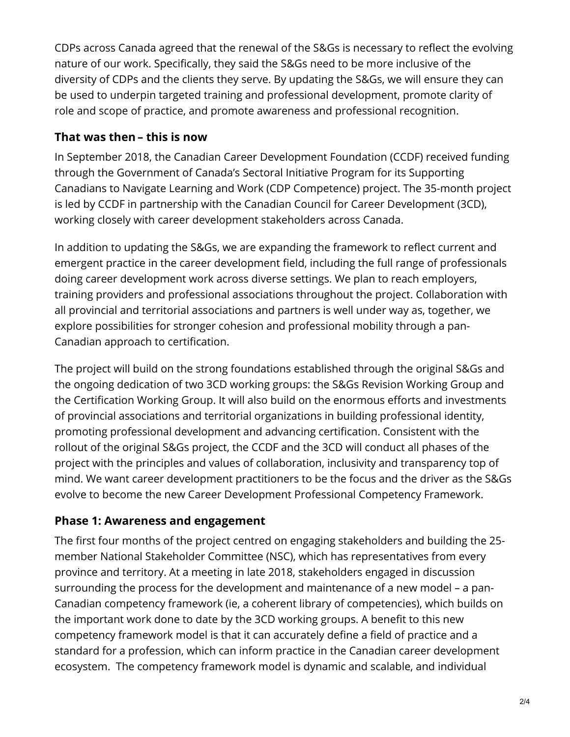CDPs across Canada agreed that the renewal of the S&Gs is necessary to reflect the evolving nature of our work. Specifically, they said the S&Gs need to be more inclusive of the diversity of CDPs and the clients they serve. By updating the S&Gs, we will ensure they can be used to underpin targeted training and professional development, promote clarity of role and scope of practice, and promote awareness and professional recognition.

#### **That was then – this is now**

In September 2018, the Canadian Career Development Foundation (CCDF) received funding through the Government of Canada's Sectoral Initiative Program for its Supporting Canadians to Navigate Learning and Work (CDP Competence) project. The 35-month project is led by CCDF in partnership with the Canadian Council for Career Development (3CD), working closely with career development stakeholders across Canada.

In addition to updating the S&Gs, we are expanding the framework to reflect current and emergent practice in the career development field, including the full range of professionals doing career development work across diverse settings. We plan to reach employers, training providers and professional associations throughout the project. Collaboration with all provincial and territorial associations and partners is well under way as, together, we explore possibilities for stronger cohesion and professional mobility through a pan-Canadian approach to certification.

The project will build on the strong foundations established through the original S&Gs and the ongoing dedication of two 3CD working groups: the S&Gs Revision Working Group and the Certification Working Group. It will also build on the enormous efforts and investments of provincial associations and territorial organizations in building professional identity, promoting professional development and advancing certification. Consistent with the rollout of the original S&Gs project, the CCDF and the 3CD will conduct all phases of the project with the principles and values of collaboration, inclusivity and transparency top of mind. We want career development practitioners to be the focus and the driver as the S&Gs evolve to become the new Career Development Professional Competency Framework.

# **Phase 1: Awareness and engagement**

The first four months of the project centred on engaging stakeholders and building the 25 member National Stakeholder Committee (NSC), which has representatives from every province and territory. At a meeting in late 2018, stakeholders engaged in discussion surrounding the process for the development and maintenance of a new model – a pan-Canadian competency framework (ie, a coherent library of competencies), which builds on the important work done to date by the 3CD working groups. A benefit to this new competency framework model is that it can accurately define a field of practice and a standard for a profession, which can inform practice in the Canadian career development ecosystem. The competency framework model is dynamic and scalable, and individual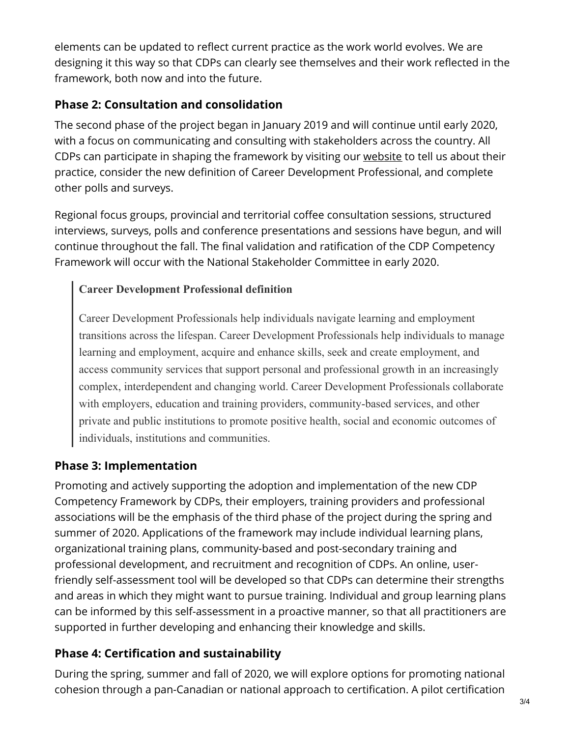elements can be updated to reflect current practice as the work world evolves. We are designing it this way so that CDPs can clearly see themselves and their work reflected in the framework, both now and into the future.

### **Phase 2: Consultation and consolidation**

The second phase of the project began in January 2019 and will continue until early 2020, with a focus on communicating and consulting with stakeholders across the country. All CDPs can participate in shaping the framework by visiting our [website](https://mailchi.mp/1feff7ec54ab/cdpcanada) to tell us about their practice, consider the new definition of Career Development Professional, and complete other polls and surveys.

Regional focus groups, provincial and territorial coffee consultation sessions, structured interviews, surveys, polls and conference presentations and sessions have begun, and will continue throughout the fall. The final validation and ratification of the CDP Competency Framework will occur with the National Stakeholder Committee in early 2020.

### **Career Development Professional definition**

Career Development Professionals help individuals navigate learning and employment transitions across the lifespan. Career Development Professionals help individuals to manage learning and employment, acquire and enhance skills, seek and create employment, and access community services that support personal and professional growth in an increasingly complex, interdependent and changing world. Career Development Professionals collaborate with employers, education and training providers, community-based services, and other private and public institutions to promote positive health, social and economic outcomes of individuals, institutions and communities.

# **Phase 3: Implementation**

Promoting and actively supporting the adoption and implementation of the new CDP Competency Framework by CDPs, their employers, training providers and professional associations will be the emphasis of the third phase of the project during the spring and summer of 2020. Applications of the framework may include individual learning plans, organizational training plans, community-based and post-secondary training and professional development, and recruitment and recognition of CDPs. An online, userfriendly self-assessment tool will be developed so that CDPs can determine their strengths and areas in which they might want to pursue training. Individual and group learning plans can be informed by this self-assessment in a proactive manner, so that all practitioners are supported in further developing and enhancing their knowledge and skills.

# **Phase 4: Certification and sustainability**

During the spring, summer and fall of 2020, we will explore options for promoting national cohesion through a pan-Canadian or national approach to certification. A pilot certification